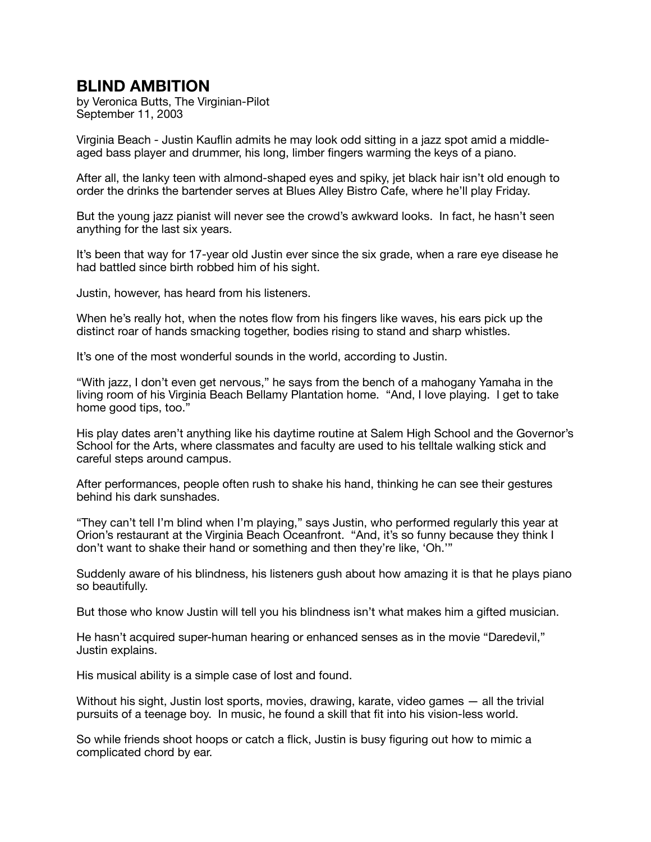## **BLIND AMBITION**

by Veronica Butts, The Virginian-Pilot September 11, 2003

Virginia Beach - Justin Kauflin admits he may look odd sitting in a jazz spot amid a middleaged bass player and drummer, his long, limber fingers warming the keys of a piano.

After all, the lanky teen with almond-shaped eyes and spiky, jet black hair isn't old enough to order the drinks the bartender serves at Blues Alley Bistro Cafe, where he'll play Friday.

But the young jazz pianist will never see the crowd's awkward looks. In fact, he hasn't seen anything for the last six years.

It's been that way for 17-year old Justin ever since the six grade, when a rare eye disease he had battled since birth robbed him of his sight.

Justin, however, has heard from his listeners.

When he's really hot, when the notes flow from his fingers like waves, his ears pick up the distinct roar of hands smacking together, bodies rising to stand and sharp whistles.

It's one of the most wonderful sounds in the world, according to Justin.

"With jazz, I don't even get nervous," he says from the bench of a mahogany Yamaha in the living room of his Virginia Beach Bellamy Plantation home. "And, I love playing. I get to take home good tips, too."

His play dates aren't anything like his daytime routine at Salem High School and the Governor's School for the Arts, where classmates and faculty are used to his telltale walking stick and careful steps around campus.

After performances, people often rush to shake his hand, thinking he can see their gestures behind his dark sunshades.

"They can't tell I'm blind when I'm playing," says Justin, who performed regularly this year at Orion's restaurant at the Virginia Beach Oceanfront. "And, it's so funny because they think I don't want to shake their hand or something and then they're like, 'Oh.'"

Suddenly aware of his blindness, his listeners gush about how amazing it is that he plays piano so beautifully.

But those who know Justin will tell you his blindness isn't what makes him a gifted musician.

He hasn't acquired super-human hearing or enhanced senses as in the movie "Daredevil," Justin explains.

His musical ability is a simple case of lost and found.

Without his sight, Justin lost sports, movies, drawing, karate, video games — all the trivial pursuits of a teenage boy. In music, he found a skill that fit into his vision-less world.

So while friends shoot hoops or catch a flick, Justin is busy figuring out how to mimic a complicated chord by ear.